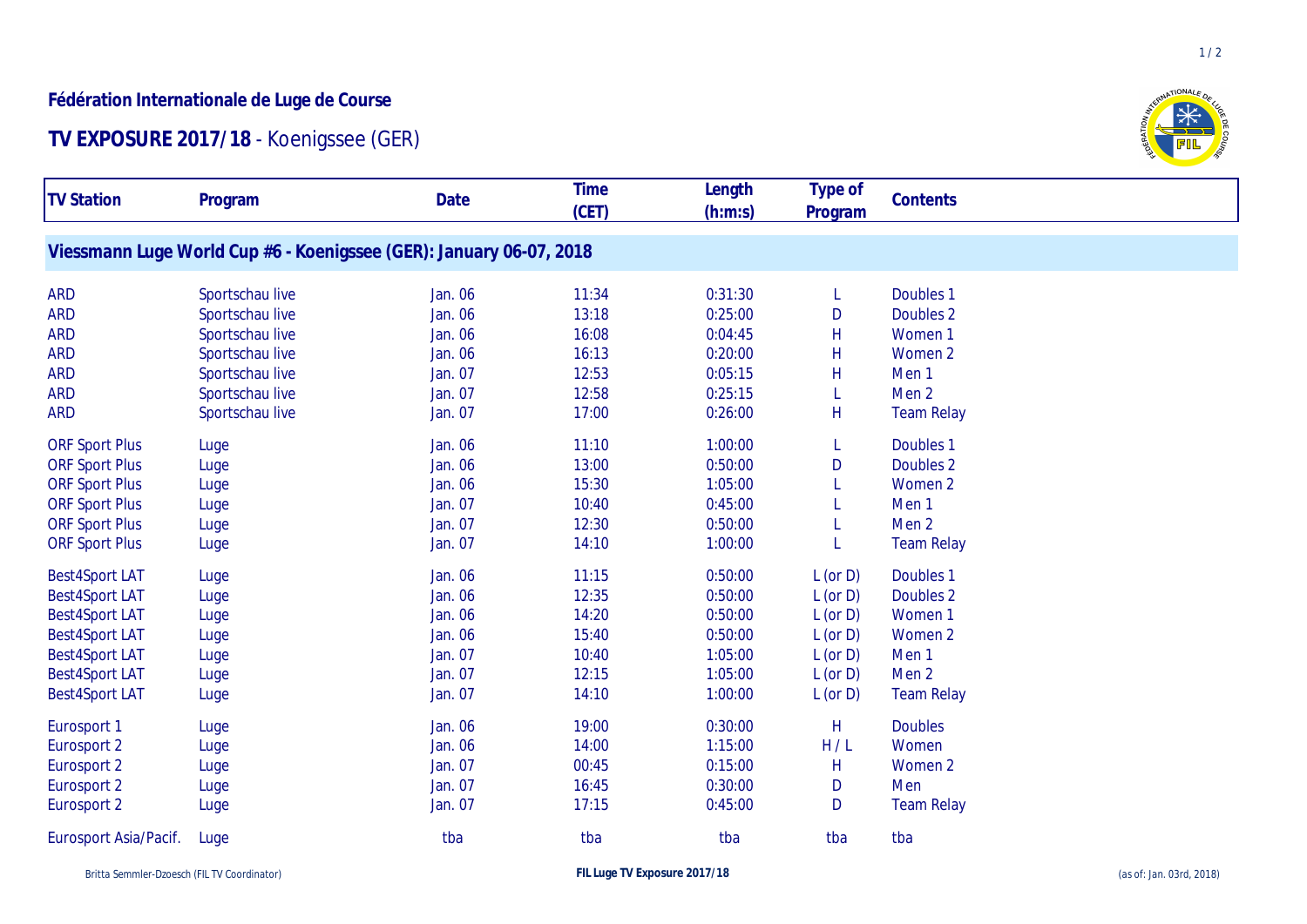## **Fédération Internationale de Luge de Course**

## **TV EXPOSURE 2017/18** - Koenigssee (GER)

| <b>TV Station</b>     | Program                                                             | Date    | <b>Time</b> | Length  | Type of                 | Contents             |
|-----------------------|---------------------------------------------------------------------|---------|-------------|---------|-------------------------|----------------------|
|                       |                                                                     |         | (CET)       | (h:m:s) | Program                 |                      |
|                       | Viessmann Luge World Cup #6 - Koenigssee (GER): January 06-07, 2018 |         |             |         |                         |                      |
|                       |                                                                     |         |             |         |                         |                      |
| <b>ARD</b>            | Sportschau live                                                     | Jan. 06 | 11:34       | 0:31:30 | L                       | Doubles <sub>1</sub> |
| <b>ARD</b>            | Sportschau live                                                     | Jan. 06 | 13:18       | 0:25:00 | D                       | Doubles 2            |
| <b>ARD</b>            | Sportschau live                                                     | Jan. 06 | 16:08       | 0:04:45 | H                       | Women <sub>1</sub>   |
| <b>ARD</b>            | Sportschau live                                                     | Jan. 06 | 16:13       | 0:20:00 | Н                       | Women 2              |
| <b>ARD</b>            | Sportschau live                                                     | Jan. 07 | 12:53       | 0:05:15 | Н                       | Men <sub>1</sub>     |
| <b>ARD</b>            | Sportschau live                                                     | Jan. 07 | 12:58       | 0:25:15 |                         | Men <sub>2</sub>     |
| <b>ARD</b>            | Sportschau live                                                     | Jan. 07 | 17:00       | 0:26:00 | H                       | <b>Team Relay</b>    |
| <b>ORF Sport Plus</b> | Luge                                                                | Jan. 06 | 11:10       | 1:00:00 | L                       | Doubles 1            |
| <b>ORF Sport Plus</b> | Luge                                                                | Jan. 06 | 13:00       | 0:50:00 | D                       | Doubles 2            |
| <b>ORF Sport Plus</b> | Luge                                                                | Jan. 06 | 15:30       | 1:05:00 |                         | Women 2              |
| <b>ORF Sport Plus</b> | Luge                                                                | Jan. 07 | 10:40       | 0:45:00 |                         | Men <sub>1</sub>     |
| <b>ORF Sport Plus</b> | Luge                                                                | Jan. 07 | 12:30       | 0:50:00 |                         | Men <sub>2</sub>     |
| <b>ORF Sport Plus</b> | Luge                                                                | Jan. 07 | 14:10       | 1:00:00 |                         | <b>Team Relay</b>    |
| <b>Best4Sport LAT</b> | Luge                                                                | Jan. 06 | 11:15       | 0:50:00 | $L$ (or $D$ )           | Doubles <sub>1</sub> |
| <b>Best4Sport LAT</b> | Luge                                                                | Jan. 06 | 12:35       | 0:50:00 | $L$ (or $D$ )           | Doubles 2            |
| <b>Best4Sport LAT</b> | Luge                                                                | Jan. 06 | 14:20       | 0:50:00 | $L$ (or $D$ )           | Women 1              |
| <b>Best4Sport LAT</b> | Luge                                                                | Jan. 06 | 15:40       | 0:50:00 | $L$ (or $D$ )           | Women 2              |
| <b>Best4Sport LAT</b> | Luge                                                                | Jan. 07 | 10:40       | 1:05:00 | $L$ (or $D$ )           | Men <sub>1</sub>     |
| <b>Best4Sport LAT</b> | Luge                                                                | Jan. 07 | 12:15       | 1:05:00 | $L$ (or $D$ )           | Men <sub>2</sub>     |
| <b>Best4Sport LAT</b> | Luge                                                                | Jan. 07 | 14:10       | 1:00:00 | $L$ (or $D$ )           | <b>Team Relay</b>    |
| Eurosport 1           | Luge                                                                | Jan. 06 | 19:00       | 0:30:00 | $\overline{\mathsf{H}}$ | <b>Doubles</b>       |
| Eurosport 2           | Luge                                                                | Jan. 06 | 14:00       | 1:15:00 | H/L                     | Women                |
| Eurosport 2           | Luge                                                                | Jan. 07 | 00:45       | 0:15:00 | Н                       | Women 2              |
| Eurosport 2           | Luge                                                                | Jan. 07 | 16:45       | 0:30:00 | D                       | Men                  |
| Eurosport 2           | Luge                                                                | Jan. 07 | 17:15       | 0:45:00 | D                       | <b>Team Relay</b>    |
| Eurosport Asia/Pacif. | Luge                                                                | tba     | tba         | tba     | tba                     | tba                  |